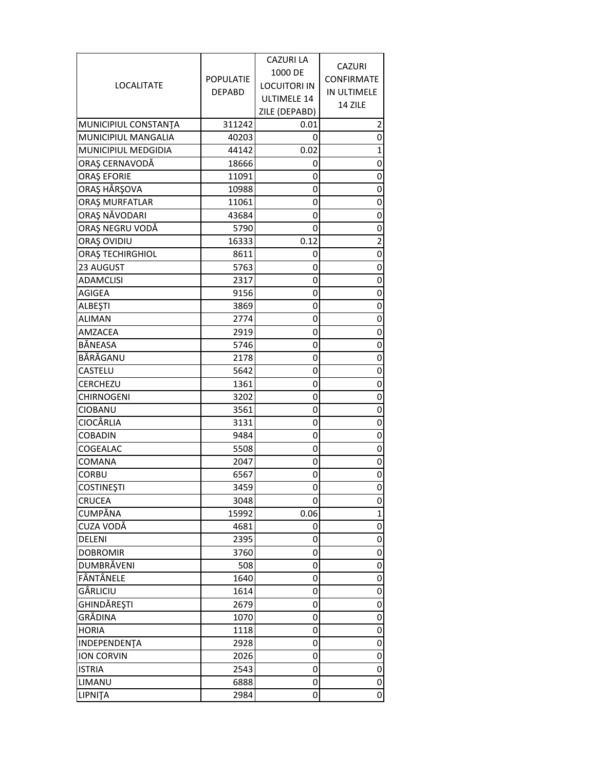|                      |                  | <b>CAZURI LA</b>    |                |
|----------------------|------------------|---------------------|----------------|
|                      |                  | 1000 DE             | CAZURI         |
| LOCALITATE           | <b>POPULATIE</b> | <b>LOCUITORI IN</b> | CONFIRMATE     |
|                      | <b>DEPABD</b>    | ULTIMELE 14         | IN ULTIMELE    |
|                      |                  | ZILE (DEPABD)       | 14 ZILE        |
| MUNICIPIUL CONSTANTA | 311242           | 0.01                | 2              |
| MUNICIPIUL MANGALIA  | 40203            | 0                   | 0              |
| MUNICIPIUL MEDGIDIA  | 44142            | 0.02                | 1              |
| ORAȘ CERNAVODĂ       | 18666            | 0                   | 0              |
| <b>ORAȘ EFORIE</b>   | 11091            | 0                   | $\mathbf 0$    |
| ORAŞ HÂRŞOVA         | 10988            | 0                   | 0              |
| ORAȘ MURFATLAR       | 11061            | 0                   | 0              |
| ORAȘ NĂVODARI        | 43684            | 0                   | 0              |
| ORAȘ NEGRU VODĂ      | 5790             | 0                   | $\pmb{0}$      |
| ORAȘ OVIDIU          | 16333            | 0.12                | $\overline{c}$ |
| ORAȘ TECHIRGHIOL     | 8611             | 0                   | $\pmb{0}$      |
| 23 AUGUST            | 5763             | 0                   | 0              |
| <b>ADAMCLISI</b>     | 2317             | 0                   | 0              |
| AGIGEA               | 9156             | 0                   | $\mathbf 0$    |
| <b>ALBEŞTI</b>       | 3869             | 0                   | 0              |
| <b>ALIMAN</b>        | 2774             | 0                   | 0              |
| AMZACEA              | 2919             | 0                   | 0              |
| BÅNEASA              | 5746             | 0                   | 0              |
| BĂRĂGANU             | 2178             | 0                   | 0              |
| CASTELU              | 5642             | 0                   | $\mathbf 0$    |
| CERCHEZU             | 1361             | 0                   | 0              |
| <b>CHIRNOGENI</b>    | 3202             | 0                   | 0              |
| CIOBANU              | 3561             | 0                   | $\mathbf 0$    |
| <b>CIOCÂRLIA</b>     | 3131             | 0                   | 0              |
| <b>COBADIN</b>       | 9484             | 0                   | 0              |
| COGEALAC             | 5508             | 0                   | 0              |
| COMANA               | 2047             | 0                   | $\mathbf 0$    |
| <b>CORBU</b>         | 6567             | 0                   | 0              |
| <b>COSTINEȘTI</b>    | 3459             | $\Omega$            | 0              |
| <b>CRUCEA</b>        | 3048             | 0                   | 0              |
| CUMPĂNA              | 15992            | 0.06                | $\mathbf{1}$   |
| CUZA VODĂ            | 4681             | 0                   | 0              |
| DELENI               | 2395             | 0                   | 0              |
| <b>DOBROMIR</b>      | 3760             | 0                   | $\mathbf 0$    |
| DUMBRĂVENI           | 508              | 0                   | 0              |
| FÂNTÂNELE            | 1640             | 0                   | 0              |
| GÂRLICIU             | 1614             | 0                   | 0              |
| <b>GHINDĂREȘTI</b>   | 2679             | 0                   | $\mathbf 0$    |
| GRĂDINA              | 1070             | 0                   | $\mathbf 0$    |
| <b>HORIA</b>         | 1118             | 0                   | 0              |
| INDEPENDENȚA         | 2928             | 0                   | $\pmb{0}$      |
| <b>ION CORVIN</b>    | 2026             | 0                   | 0              |
| <b>ISTRIA</b>        | 2543             | 0                   | 0              |
| LIMANU               | 6888             | 0                   | 0              |
| LIPNITA              | 2984             | 0                   | 0              |